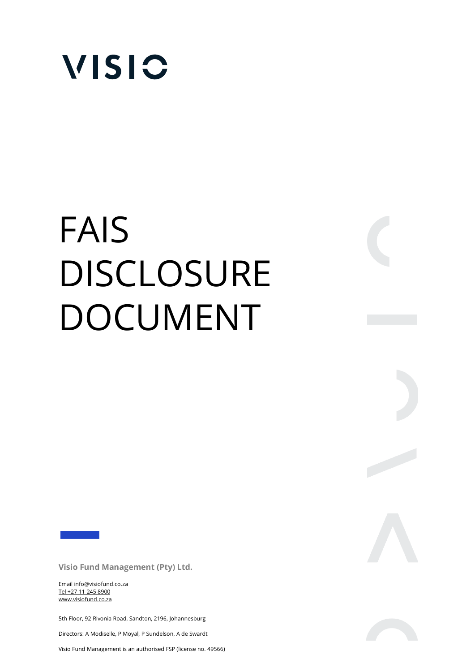

# FAIS **DISCLOSURE** DOCUMENT

**Visio Fund Management (Pty) Ltd.** 

Email info@visiofund.co.za Tel +27 11 245 8900 www.visiofund.co.za

5th Floor, 92 Rivonia Road, Sandton, 2196, Johannesburg

Directors: A Modiselle, P Moyal, P Sundelson, A de Swardt

Visio Fund Management is an authorised FSP (license no. 49566)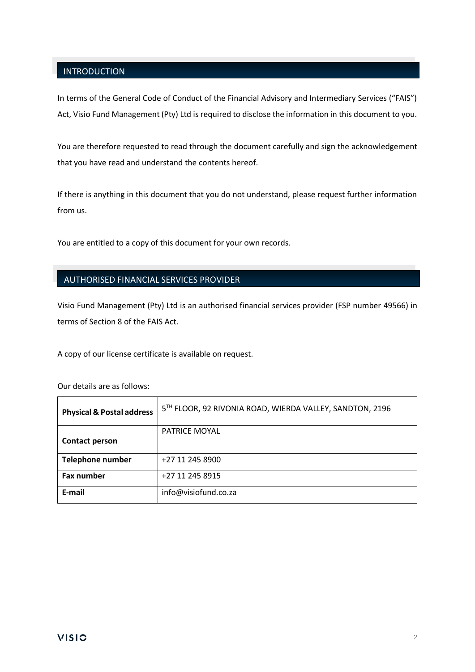# **INTRODUCTION**

In terms of the General Code of Conduct of the Financial Advisory and Intermediary Services ("FAIS") Act, Visio Fund Management (Pty) Ltd is required to disclose the information in this document to you.

You are therefore requested to read through the document carefully and sign the acknowledgement that you have read and understand the contents hereof.

If there is anything in this document that you do not understand, please request further information from us.

You are entitled to a copy of this document for your own records.

### AUTHORISED FINANCIAL SERVICES PROVIDER

Visio Fund Management (Pty) Ltd is an authorised financial services provider (FSP number 49566) in terms of Section 8 of the FAIS Act.

A copy of our license certificate is available on request.

| <b>Physical &amp; Postal address</b> | 5TH FLOOR, 92 RIVONIA ROAD, WIERDA VALLEY, SANDTON, 2196 |
|--------------------------------------|----------------------------------------------------------|
| <b>Contact person</b>                | <b>PATRICE MOYAL</b>                                     |
| <b>Telephone number</b>              | +27 11 245 8900                                          |
| <b>Fax number</b>                    | +27 11 245 8915                                          |
| E-mail                               | info@visiofund.co.za                                     |

Our details are as follows: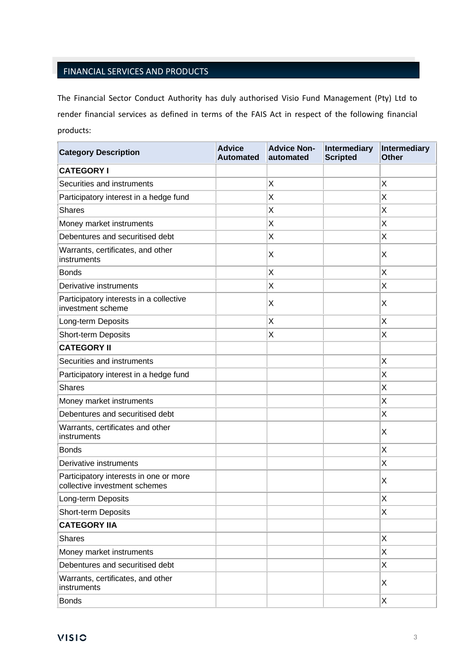# FINANCIAL SERVICES AND PRODUCTS

The Financial Sector Conduct Authority has duly authorised Visio Fund Management (Pty) Ltd to render financial services as defined in terms of the FAIS Act in respect of the following financial products:

| <b>Category Description</b>                                             | <b>Advice</b><br><b>Automated</b> | <b>Advice Non-</b><br>automated | Intermediary<br><b>Scripted</b> | Intermediary<br><b>Other</b> |
|-------------------------------------------------------------------------|-----------------------------------|---------------------------------|---------------------------------|------------------------------|
| <b>CATEGORY I</b>                                                       |                                   |                                 |                                 |                              |
| Securities and instruments                                              |                                   | X                               |                                 | X                            |
| Participatory interest in a hedge fund                                  |                                   | X                               |                                 | X                            |
| <b>Shares</b>                                                           |                                   | Χ                               |                                 | X                            |
| Money market instruments                                                |                                   | X                               |                                 | Χ                            |
| Debentures and securitised debt                                         |                                   | X                               |                                 | X                            |
| Warrants, certificates, and other<br>instruments                        |                                   | Χ                               |                                 | X                            |
| <b>Bonds</b>                                                            |                                   | Χ                               |                                 | X                            |
| Derivative instruments                                                  |                                   | X                               |                                 | X                            |
| Participatory interests in a collective<br>investment scheme            |                                   | Χ                               |                                 | Χ                            |
| Long-term Deposits                                                      |                                   | X                               |                                 | X                            |
| Short-term Deposits                                                     |                                   | Χ                               |                                 | X                            |
| <b>CATEGORY II</b>                                                      |                                   |                                 |                                 |                              |
| Securities and instruments                                              |                                   |                                 |                                 | X                            |
| Participatory interest in a hedge fund                                  |                                   |                                 |                                 | X                            |
| <b>Shares</b>                                                           |                                   |                                 |                                 | X                            |
| Money market instruments                                                |                                   |                                 |                                 | X                            |
| Debentures and securitised debt                                         |                                   |                                 |                                 | Χ                            |
| Warrants, certificates and other<br>instruments                         |                                   |                                 |                                 | X                            |
| <b>Bonds</b>                                                            |                                   |                                 |                                 | Χ                            |
| Derivative instruments                                                  |                                   |                                 |                                 | X                            |
| Participatory interests in one or more<br>collective investment schemes |                                   |                                 |                                 | X                            |
| Long-term Deposits                                                      |                                   |                                 |                                 | X                            |
| Short-term Deposits                                                     |                                   |                                 |                                 | X                            |
| <b>CATEGORY IIA</b>                                                     |                                   |                                 |                                 |                              |
| <b>Shares</b>                                                           |                                   |                                 |                                 | X                            |
| Money market instruments                                                |                                   |                                 |                                 | X                            |
| Debentures and securitised debt                                         |                                   |                                 |                                 | X                            |
| Warrants, certificates, and other<br>instruments                        |                                   |                                 |                                 | $\boldsymbol{\mathsf{X}}$    |
| <b>Bonds</b>                                                            |                                   |                                 |                                 | X                            |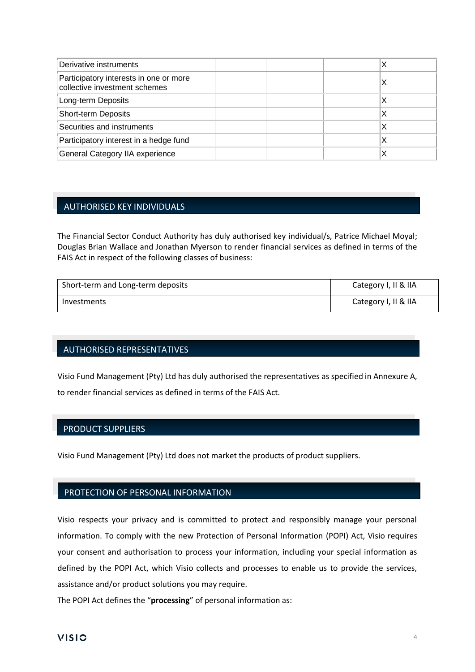| Derivative instruments                                                  |  | х |
|-------------------------------------------------------------------------|--|---|
| Participatory interests in one or more<br>collective investment schemes |  | х |
| Long-term Deposits                                                      |  | Х |
| <b>Short-term Deposits</b>                                              |  | ⋏ |
| Securities and instruments                                              |  | ⋏ |
| Participatory interest in a hedge fund                                  |  |   |
| General Category IIA experience                                         |  |   |

## AUTHORISED KEY INDIVIDUALS

The Financial Sector Conduct Authority has duly authorised key individual/s, Patrice Michael Moyal; Douglas Brian Wallace and Jonathan Myerson to render financial services as defined in terms of the FAIS Act in respect of the following classes of business:

| Short-term and Long-term deposits | Category I, II & IIA |
|-----------------------------------|----------------------|
| Investments                       | Category I, II & IIA |

#### AUTHORISED REPRESENTATIVES

Visio Fund Management (Pty) Ltd has duly authorised the representatives as specified in Annexure A, to render financial services as defined in terms of the FAIS Act.

### PRODUCT SUPPLIERS

Visio Fund Management (Pty) Ltd does not market the products of product suppliers.

#### PROTECTION OF PERSONAL INFORMATION

Visio respects your privacy and is committed to protect and responsibly manage your personal information. To comply with the new Protection of Personal Information (POPI) Act, Visio requires your consent and authorisation to process your information, including your special information as defined by the POPI Act, which Visio collects and processes to enable us to provide the services, assistance and/or product solutions you may require.

The POPI Act defines the "**processing**" of personal information as: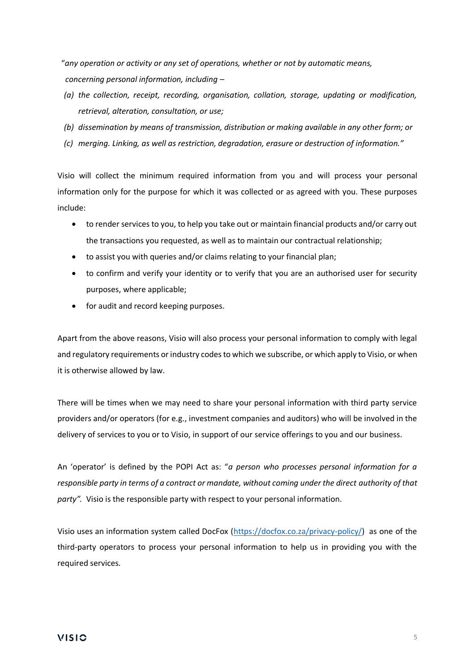"*any operation or activity or any set of operations, whether or not by automatic means, concerning personal information, including –*

- *(a) the collection, receipt, recording, organisation, collation, storage, updating or modification, retrieval, alteration, consultation, or use;*
- *(b) dissemination by means of transmission, distribution or making available in any other form; or*
- *(c) merging. Linking, as well as restriction, degradation, erasure or destruction of information."*

Visio will collect the minimum required information from you and will process your personal information only for the purpose for which it was collected or as agreed with you. These purposes include:

- to render services to you, to help you take out or maintain financial products and/or carry out the transactions you requested, as well as to maintain our contractual relationship;
- to assist you with queries and/or claims relating to your financial plan;
- to confirm and verify your identity or to verify that you are an authorised user for security purposes, where applicable;
- for audit and record keeping purposes.

Apart from the above reasons, Visio will also process your personal information to comply with legal and regulatory requirements or industry codes to which we subscribe, or which apply to Visio, or when it is otherwise allowed by law.

There will be times when we may need to share your personal information with third party service providers and/or operators (for e.g., investment companies and auditors) who will be involved in the delivery of services to you or to Visio, in support of our service offerings to you and our business.

An 'operator' is defined by the POPI Act as: "*a person who processes personal information for a responsible party in terms of a contract or mandate, without coming under the direct authority of that party".* Visio is the responsible party with respect to your personal information.

Visio uses an information system called DocFox [\(https://docfox.co.za/privacy-policy/\)](https://docfox.co.za/privacy-policy/) as one of the third-party operators to process your personal information to help us in providing you with the required services.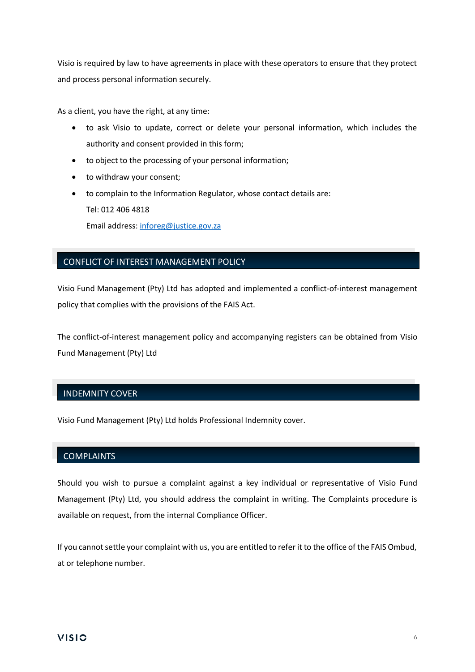Visio is required by law to have agreements in place with these operators to ensure that they protect and process personal information securely.

As a client, you have the right, at any time:

- to ask Visio to update, correct or delete your personal information, which includes the authority and consent provided in this form;
- to object to the processing of your personal information;
- to withdraw your consent;
- to complain to the Information Regulator, whose contact details are: Tel: 012 406 4818

Email address: [inforeg@justice.gov.za](mailto:inforeg@justice.gov.za)

## CONFLICT OF INTEREST MANAGEMENT POLICY

Visio Fund Management (Pty) Ltd has adopted and implemented a conflict-of-interest management policy that complies with the provisions of the FAIS Act.

The conflict-of-interest management policy and accompanying registers can be obtained from Visio Fund Management (Pty) Ltd

### INDEMNITY COVER

Visio Fund Management (Pty) Ltd holds Professional Indemnity cover.

### **COMPLAINTS**

Should you wish to pursue a complaint against a key individual or representative of Visio Fund Management (Pty) Ltd, you should address the complaint in writing. The Complaints procedure is available on request, from the internal Compliance Officer.

If you cannot settle your complaint with us, you are entitled to refer it to the office of the FAIS Ombud, at or telephone number.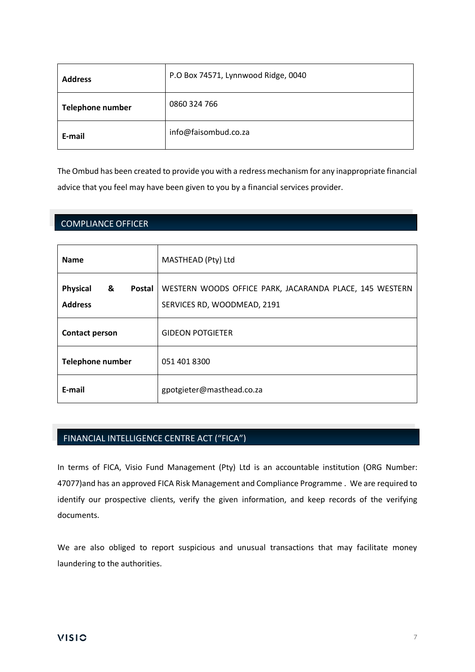| <b>Address</b>          | P.O Box 74571, Lynnwood Ridge, 0040 |
|-------------------------|-------------------------------------|
| <b>Telephone number</b> | 0860 324 766                        |
| E-mail                  | info@faisombud.co.za                |

The Ombud has been created to provide you with a redress mechanism for any inappropriate financial advice that you feel may have been given to you by a financial services provider.

## COMPLIANCE OFFICER

| <b>Name</b>                                      | MASTHEAD (Pty) Ltd                                                                     |
|--------------------------------------------------|----------------------------------------------------------------------------------------|
| <b>Physical</b><br>&<br>Postal<br><b>Address</b> | WESTERN WOODS OFFICE PARK, JACARANDA PLACE, 145 WESTERN<br>SERVICES RD, WOODMEAD, 2191 |
| <b>Contact person</b>                            | <b>GIDEON POTGIETER</b>                                                                |
| <b>Telephone number</b>                          | 051 401 8300                                                                           |
| E-mail                                           | gpotgieter@masthead.co.za                                                              |

# FINANCIAL INTELLIGENCE CENTRE ACT ("FICA")

In terms of FICA, Visio Fund Management (Pty) Ltd is an accountable institution (ORG Number: 47077)and has an approved FICA Risk Management and Compliance Programme . We are required to identify our prospective clients, verify the given information, and keep records of the verifying documents.

We are also obliged to report suspicious and unusual transactions that may facilitate money laundering to the authorities.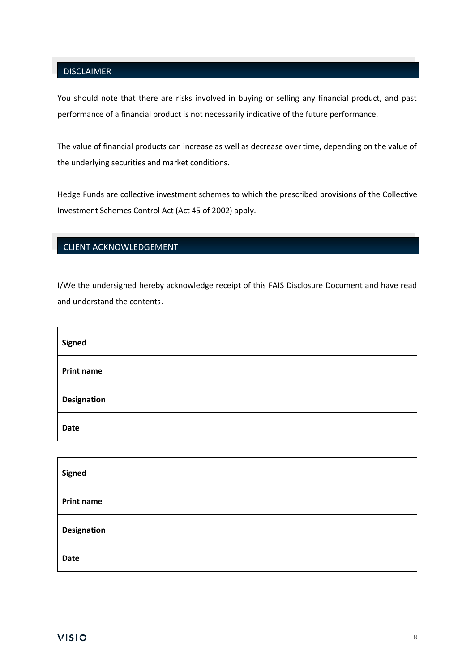# DISCLAIMER

You should note that there are risks involved in buying or selling any financial product, and past performance of a financial product is not necessarily indicative of the future performance.

The value of financial products can increase as well as decrease over time, depending on the value of the underlying securities and market conditions.

Hedge Funds are collective investment schemes to which the prescribed provisions of the Collective Investment Schemes Control Act (Act 45 of 2002) apply.

# CLIENT ACKNOWLEDGEMENT

I/We the undersigned hereby acknowledge receipt of this FAIS Disclosure Document and have read and understand the contents.

| Signed             |  |
|--------------------|--|
| <b>Print name</b>  |  |
| <b>Designation</b> |  |
| Date               |  |

| <b>Signed</b>      |  |
|--------------------|--|
| <b>Print name</b>  |  |
| <b>Designation</b> |  |
| <b>Date</b>        |  |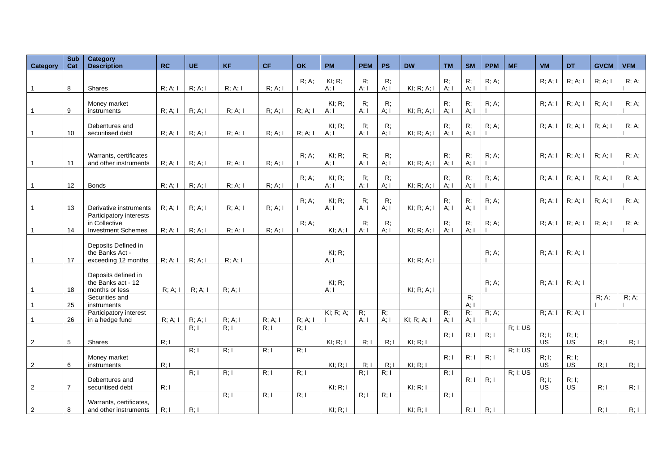| Category       | <b>Sub</b><br>Cat | Category<br><b>Description</b>             | RC         | <b>UE</b> | <b>KF</b>         | <b>CF</b>         | <b>OK</b>         | <b>PM</b>            | <b>PEM</b>   | <b>PS</b>      | <b>DW</b>      | <b>TM</b>         | <b>SM</b>              | <b>PPM</b> | <b>MF</b> | <b>VM</b>          | <b>DT</b>          | <b>GVCM</b> | <b>VFM</b> |
|----------------|-------------------|--------------------------------------------|------------|-----------|-------------------|-------------------|-------------------|----------------------|--------------|----------------|----------------|-------------------|------------------------|------------|-----------|--------------------|--------------------|-------------|------------|
|                |                   |                                            |            |           |                   |                   |                   |                      |              |                |                |                   |                        |            |           |                    |                    |             |            |
| $\mathbf 1$    | 8                 | Shares                                     | R; A; I    | R; A; I   | R: A: I           | R; A; I           | R: A              | $KI$ ; R;<br>A: I    | R:<br>A: I   | R;<br>A; I     | $KI$ ; R; A; I | R:<br>A: I        | R;<br>A; I             | R; A;      |           | R: A: I            | R; A; I            | R; A; I     | R; A;      |
|                |                   |                                            |            |           |                   |                   |                   |                      |              |                |                |                   |                        |            |           |                    |                    |             |            |
|                |                   | Money market                               |            |           |                   |                   |                   | KI: R:               | R:           | R:             |                | R:                | R;                     | $R: A$ :   |           | R: A: I            | R; A; I            | R; A; I     | R: A       |
| $\mathbf{1}$   | 9                 | instruments                                | R; A; I    | R; A; I   | R; A; I           | R; A; I           | R: A: I           | A: I                 | A; I         | A; I           | KI; R; A; I    | A: I              | A; I                   |            |           |                    |                    |             |            |
|                |                   | Debentures and                             |            |           |                   |                   |                   | $KI: R$ ;            | R;           | R;             |                | R;                | R;                     | R: A       |           | R: A: I            | R; A; I            | R; A; I     | R: A       |
| $\mathbf{1}$   | 10                | securitised debt                           | R; A; I    | R; A; I   | R; A; I           | R; A; I           | R; A; I           | A; I                 | A: I         | A; I           | KI; R; A; I    | A; I              | A; I                   |            |           |                    |                    |             |            |
|                |                   |                                            |            |           |                   |                   |                   |                      |              |                |                |                   |                        |            |           |                    |                    |             |            |
|                |                   | Warrants, certificates                     |            |           |                   |                   | R: A              | KI: R                | R:           | R:             |                | R:                | R;                     | R: A       |           | R; A; I            | R; A; I            | R; A; I     | R: A       |
| $\mathbf{1}$   | 11                | and other instruments                      | $R$ ; A; I | R; A; I   | R; A; I           | R; A; I           |                   | A: I                 | A: I         | $A$ ; I        | $KI$ ; R; A; I | A: I              | A; I                   |            |           |                    |                    |             |            |
|                |                   |                                            |            |           |                   |                   | $R: A$ :          | KI; R;               | R;           | R;             |                | $R$ ;             | R;                     | R; A;      |           | R: A: I            | R; A; I            | R; A; I     | R; A;      |
| $\mathbf{1}$   | 12                | <b>Bonds</b>                               | R; A; I    | R; A; I   | R; A; I           | R; A; I           |                   | A: I                 | $A$ ; I      | $A$ ; I        | KI; R; A; I    | A: I              | A; I                   |            |           |                    |                    |             |            |
|                |                   |                                            |            |           |                   |                   | R: A              | KI; R;               | R;           | R;             |                | R;                | R;                     | R; A;      |           | R: A: I            | R; A; I            | R; A; I     | R; A;      |
| $\mathbf{1}$   | 13                | Derivative instruments                     | R; A; I    | R; A; I   | R; A; I           | R; A; I           |                   | A: I                 | $A$ ; I      | A; I           | KI; R; A; I    | A: I              | A; I                   |            |           |                    |                    |             |            |
|                |                   | Participatory interests                    |            |           |                   |                   |                   |                      |              |                |                |                   |                        |            |           |                    |                    |             |            |
| $\mathbf 1$    | 14                | in Collective<br><b>Investment Schemes</b> | R; A; I    | R; A; I   | R; A; I           | R; A; I           | $R: A$ :          | $KI$ ; A; I          | R:<br>A; I   | R:<br>A; I     | $KI$ ; R; A; I | R:<br>A: I        | R;<br>A; I             | $R: A$ :   |           | R: A: I            | R; A; I            | R; A; I     | $R: A$ :   |
|                |                   |                                            |            |           |                   |                   |                   |                      |              |                |                |                   |                        |            |           |                    |                    |             |            |
|                |                   | Deposits Defined in                        |            |           |                   |                   |                   |                      |              |                |                |                   |                        |            |           |                    |                    |             |            |
| $\overline{1}$ | 17                | the Banks Act -<br>exceeding 12 months     | R: A: I    | R; A; I   | R; A; I           |                   |                   | $KI$ ; R;<br>$A$ ; l |              |                | KI; R; A; I    |                   |                        | R; A;      |           | R: A: I            | R; A; I            |             |            |
|                |                   |                                            |            |           |                   |                   |                   |                      |              |                |                |                   |                        |            |           |                    |                    |             |            |
|                |                   | Deposits defined in<br>the Banks act - 12  |            |           |                   |                   |                   | $KI$ ; R;            |              |                |                |                   |                        | R: A       |           | R; A; I            | R; A; I            |             |            |
|                | 18                | months or less                             | R; A; I    | R; A; I   | $R$ ; A; I        |                   |                   | A: I                 |              |                | $KI$ ; R; A; I |                   |                        |            |           |                    |                    |             |            |
|                |                   | Securities and                             |            |           |                   |                   |                   |                      |              |                |                |                   | R;                     |            |           |                    |                    | R; A;       | R; A;      |
| $\mathbf 1$    | 25                | instruments<br>Participatory interest      |            |           |                   |                   |                   | KI; R; A;            | R;           | $\overline{R}$ |                | R:                | A; I<br>$\overline{R}$ | R; A;      |           | R; A; I            | R; A; I            |             |            |
| $\mathbf 1$    | 26                | in a hedge fund                            | R; A; I    | R; A; I   | R; A; I           | R; A; I           | R; A; I           |                      | A; I         | $A$ ; I        | KI; R; A; I    | $A$ ; I           | A; I                   |            |           |                    |                    |             |            |
|                |                   |                                            |            | R: I      | R: I              | $\overline{R: I}$ | R: I              |                      |              |                |                |                   |                        |            | R; I; US  |                    |                    |             |            |
| 2              | 5                 | Shares                                     | R; I       |           |                   |                   |                   | KI; R; I             | R; I         | R; I           | KI; R; I       | R: I              | R: I                   | R: I       |           | R; I;<br><b>US</b> | R; I;<br><b>US</b> | R; I        | R; I       |
|                |                   |                                            |            | R: I      | R; I              | R: I              | $\overline{R: I}$ |                      |              |                |                |                   |                        |            | R; I; US  |                    |                    |             |            |
|                |                   | Money market                               |            |           |                   |                   |                   |                      |              |                |                | R; I              | R; I                   | R; I       |           | R; I;              | R; I;              |             |            |
| $\overline{2}$ | 6                 | instruments                                | R: I       | R; I      | R; I              | R; I              | R: I              | $KI$ ; R; I          | R; I<br>R: I | R; I<br>R; I   | $KI$ ; R; I    | R: I              |                        |            | R; I; US  | <b>US</b>          | <b>US</b>          | R: I        | R; I       |
|                |                   | Debentures and                             |            |           |                   |                   |                   |                      |              |                |                |                   | R; I                   | R: I       |           | R; I;              | R; I;              |             |            |
| 2              | $\overline{7}$    | securitised debt                           | R; I       |           |                   |                   |                   | $KI$ ; R; I          |              |                | KI; R; I       |                   |                        |            |           | <b>US</b>          | <b>US</b>          | R: I        | R; I       |
|                |                   | Warrants, certificates,                    |            |           | $\overline{R: I}$ | R: I              | R: I              |                      | R: I         | R: I           |                | $\overline{R: I}$ |                        |            |           |                    |                    |             |            |
| 2              | 8                 | and other instruments                      | R; I       | R; I      |                   |                   |                   | $KI$ ; R; I          |              |                | KI; R; I       |                   | R; I                   | R; I       |           |                    |                    | R; I        | R: I       |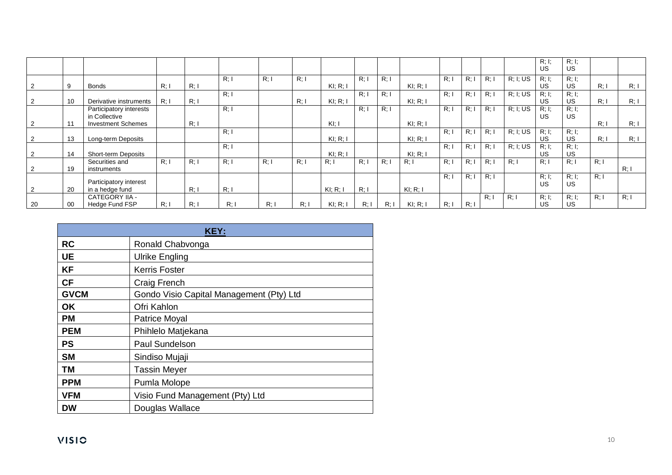|                |         |                            |      |      |      |      |      |             |      |      |             |      |      |      |          | R; I;     | R; I;     |       |      |
|----------------|---------|----------------------------|------|------|------|------|------|-------------|------|------|-------------|------|------|------|----------|-----------|-----------|-------|------|
|                |         |                            |      |      |      |      |      |             |      |      |             |      |      |      |          | <b>US</b> | <b>US</b> |       |      |
|                |         |                            |      |      | R: I | R: I | R: I |             | R: I | R: I |             | R: I | R: I | R: I | R; I; US | R; I;     | R, I;     |       |      |
|                | 9       | Bonds                      | R: I | R; I |      |      |      | $KI$ ; R; I |      |      | $KI$ ; R; I |      |      |      |          | <b>US</b> | <b>US</b> | R:    | R: I |
|                |         |                            |      |      | R: I |      |      |             | R: I | R: I |             | R: I | R: I | R: I | R; I; US | R; I;     | R; I;     |       |      |
|                | 10      | Derivative instruments     | R: I | R; I |      |      | R: I | $KI$ ; R; I |      |      | $KI$ ; R; I |      |      |      |          | US        | <b>US</b> | R:    | R; I |
|                |         | Participatory interests    |      |      | R: I |      |      |             | R: I | R: I |             | R: I | R: I | R: I | R; I; US | R; I;     | R; I;     |       |      |
|                |         | in Collective              |      |      |      |      |      |             |      |      |             |      |      |      |          | <b>US</b> | <b>US</b> |       |      |
| $\overline{2}$ | 11      | <b>Investment Schemes</b>  |      | R; I |      |      |      | $K$ I; I    |      |      | $KI$ ; R; I |      |      |      |          |           |           | $R$ : | R: I |
|                |         |                            |      |      | R: I |      |      |             |      |      |             | R: I | R: I | R: I | R; I; US | R; I;     | R; I;     |       |      |
|                | 13      | Long-term Deposits         |      |      |      |      |      | KI: R: I    |      |      | $KI$ ; R; I |      |      |      |          | <b>US</b> | <b>US</b> | $R$ : | R: I |
|                |         |                            |      |      | R: I |      |      |             |      |      |             | R: I | R: I | R: I | R; I; US | R; I;     | R, I;     |       |      |
| $\overline{2}$ | 14      | <b>Short-term Deposits</b> |      |      |      |      |      | $KI$ ; R; I |      |      | $KI$ ; R; I |      |      |      |          | US        | US        |       |      |
|                |         | Securities and             | R: I | R: I | R: I | R: I | R: I | R: I        | R: I | R: I | R: I        | R: I | R: I | R: I | R: I     | R: I      | R: I      | R: I  |      |
|                | 19      | instruments                |      |      |      |      |      |             |      |      |             |      |      |      |          |           |           |       | R: I |
|                |         |                            |      |      |      |      |      |             |      |      |             | R: I | R:   | R: I |          | R; I;     | R; I;     | R: I  |      |
|                |         | Participatory interest     |      |      |      |      |      |             |      |      |             |      |      |      |          | US        | <b>US</b> |       |      |
| $\overline{2}$ | 20      | in a hedge fund            |      | R; I | R; I |      |      | KI, R, I    | R: I |      | $KI$ ; R; I |      |      |      |          |           |           |       |      |
|                |         | CATEGORY IIA -             |      |      |      |      |      |             |      |      |             |      |      | R: I | R:       | R; I;     | R; I;     | R: I  | R: I |
| 20             | $_{00}$ | Hedge Fund FSP             | R: I | R: I | R: I | R: I | R:   | KI; R; I    | R: I | R: I | $KI$ ; R; I | R: I | R:   |      |          | <b>US</b> | US        |       |      |

| <b>KEY:</b> |                                          |  |  |  |
|-------------|------------------------------------------|--|--|--|
| <b>RC</b>   | Ronald Chabvonga                         |  |  |  |
| <b>UE</b>   | Ulrike Engling                           |  |  |  |
| <b>KF</b>   | <b>Kerris Foster</b>                     |  |  |  |
| <b>CF</b>   | Craig French                             |  |  |  |
| <b>GVCM</b> | Gondo Visio Capital Management (Pty) Ltd |  |  |  |
| <b>OK</b>   | Ofri Kahlon                              |  |  |  |
| <b>PM</b>   | Patrice Moyal                            |  |  |  |
| <b>PEM</b>  | Phihlelo Matjekana                       |  |  |  |
| <b>PS</b>   | <b>Paul Sundelson</b>                    |  |  |  |
| <b>SM</b>   | Sindiso Mujaji                           |  |  |  |
| <b>TM</b>   | <b>Tassin Meyer</b>                      |  |  |  |
| <b>PPM</b>  | Pumla Molope                             |  |  |  |
| <b>VFM</b>  | Visio Fund Management (Pty) Ltd          |  |  |  |
| <b>DW</b>   | Douglas Wallace                          |  |  |  |